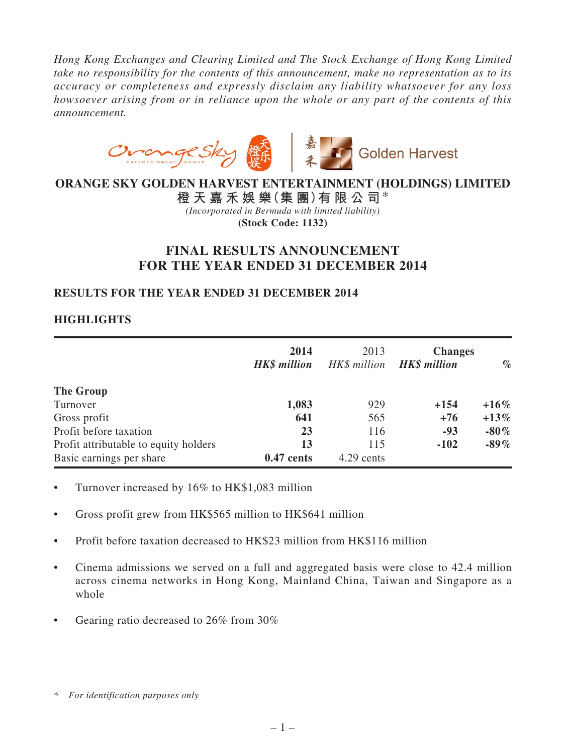*Hong Kong Exchanges and Clearing Limited and The Stock Exchange of Hong Kong Limited take no responsibility for the contents of this announcement, make no representation as to its accuracy or completeness and expressly disclaim any liability whatsoever for any loss howsoever arising from or in reliance upon the whole or any part of the contents of this announcement.*



# **ORANGE SKY GOLDEN HARVEST ENTERTAINMENT (HOLDINGS) LIMITED**

**橙 天 嘉 禾 娛 樂(集 團)有 限 公 司**\* *(Incorporated in Bermuda with limited liability)* **(Stock Code: 1132)**

# **FINAL RESULTS ANNOUNCEMENT FOR THE YEAR ENDED 31 DECEMBER 2014**

# **RESULTS FOR THE YEAR ENDED 31 DECEMBER 2014**

# **HIGHLIGHTS**

|                                       | 2014<br><b>HK\$</b> million | 2013<br>HK\$ million | <b>Changes</b><br><b>HK\$</b> million | $\%$    |
|---------------------------------------|-----------------------------|----------------------|---------------------------------------|---------|
| The Group                             |                             |                      |                                       |         |
| Turnover                              | 1,083                       | 929                  | $+154$                                | $+16\%$ |
| Gross profit                          | 641                         | 565                  | $+76$                                 | $+13\%$ |
| Profit before taxation                | 23                          | 116                  | $-93$                                 | $-80\%$ |
| Profit attributable to equity holders | 13                          | 115                  | $-102$                                | $-89\%$ |
| Basic earnings per share              | $0.47$ cents                | 4.29 cents           |                                       |         |

- Turnover increased by  $16\%$  to HK\$1,083 million
- Gross profit grew from HK\$565 million to HK\$641 million
- • Profit before taxation decreased to HK\$23 million from HK\$116 million
- Cinema admissions we served on a full and aggregated basis were close to 42.4 million across cinema networks in Hong Kong, Mainland China, Taiwan and Singapore as a whole
- Gearing ratio decreased to 26% from 30%

<sup>\*</sup> *For identification purposes only*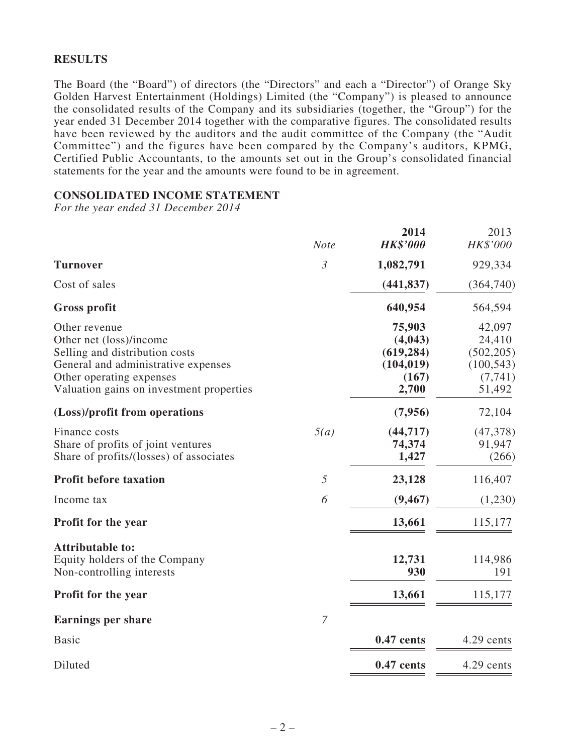## **RESULTS**

The Board (the "Board") of directors (the "Directors" and each a "Director") of Orange Sky Golden Harvest Entertainment (Holdings) Limited (the "Company") is pleased to announce the consolidated results of the Company and its subsidiaries (together, the "Group") for the year ended 31 December 2014 together with the comparative figures. The consolidated results have been reviewed by the auditors and the audit committee of the Company (the "Audit Committee") and the figures have been compared by the Company's auditors, KPMG, Certified Public Accountants, to the amounts set out in the Group's consolidated financial statements for the year and the amounts were found to be in agreement.

## **CONSOLIDATED INCOME STATEMENT**

*For the year ended 31 December 2014*

|                                                                                                                                                                                           | <b>Note</b>    | 2014<br><b>HK\$'000</b>                                         | 2013<br>HK\$'000                                                   |
|-------------------------------------------------------------------------------------------------------------------------------------------------------------------------------------------|----------------|-----------------------------------------------------------------|--------------------------------------------------------------------|
| <b>Turnover</b>                                                                                                                                                                           | $\mathfrak{Z}$ | 1,082,791                                                       | 929,334                                                            |
| Cost of sales                                                                                                                                                                             |                | (441, 837)                                                      | (364,740)                                                          |
| Gross profit                                                                                                                                                                              |                | 640,954                                                         | 564,594                                                            |
| Other revenue<br>Other net (loss)/income<br>Selling and distribution costs<br>General and administrative expenses<br>Other operating expenses<br>Valuation gains on investment properties |                | 75,903<br>(4,043)<br>(619, 284)<br>(104, 019)<br>(167)<br>2,700 | 42,097<br>24,410<br>(502, 205)<br>(100, 543)<br>(7, 741)<br>51,492 |
| (Loss)/profit from operations                                                                                                                                                             |                | (7,956)                                                         | 72,104                                                             |
| Finance costs<br>Share of profits of joint ventures<br>Share of profits/(losses) of associates                                                                                            | 5(a)           | (44, 717)<br>74,374<br>1,427                                    | (47,378)<br>91,947<br>(266)                                        |
| Profit before taxation                                                                                                                                                                    | 5              | 23,128                                                          | 116,407                                                            |
| Income tax                                                                                                                                                                                | 6              | (9, 467)                                                        | (1,230)                                                            |
| Profit for the year                                                                                                                                                                       |                | 13,661                                                          | 115,177                                                            |
| <b>Attributable to:</b><br>Equity holders of the Company<br>Non-controlling interests<br>Profit for the year                                                                              |                | 12,731<br>930<br>13,661                                         | 114,986<br>191<br>115,177                                          |
|                                                                                                                                                                                           |                |                                                                 |                                                                    |
| <b>Earnings per share</b>                                                                                                                                                                 | $\overline{7}$ |                                                                 |                                                                    |
| <b>Basic</b>                                                                                                                                                                              |                | 0.47 cents                                                      | 4.29 cents                                                         |
| Diluted                                                                                                                                                                                   |                | $0.47$ cents                                                    | 4.29 cents                                                         |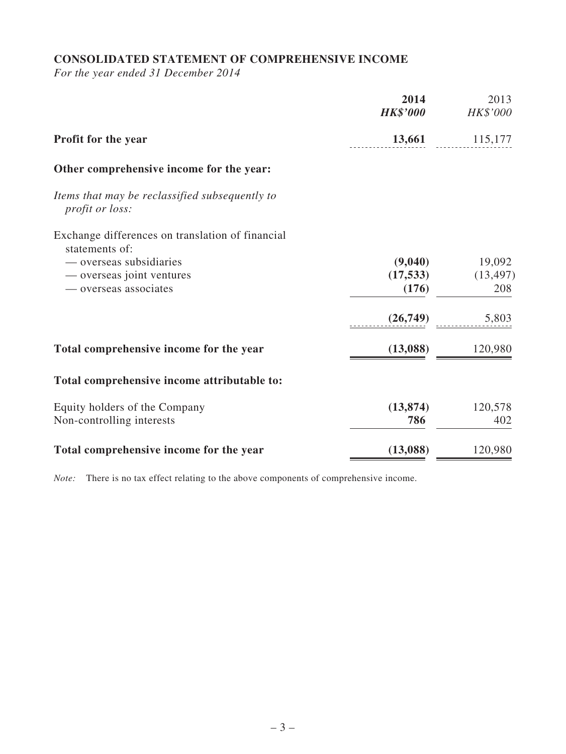# **CONSOLIDATED STATEMENT OF COMPREHENSIVE INCOME**

*For the year ended 31 December 2014*

|                                                                    | 2014<br><b>HK\$'000</b> | 2013<br>HK\$'000 |
|--------------------------------------------------------------------|-------------------------|------------------|
| <b>Profit for the year</b>                                         | 13,661                  | 115,177          |
| Other comprehensive income for the year:                           |                         |                  |
| Items that may be reclassified subsequently to<br>profit or loss:  |                         |                  |
| Exchange differences on translation of financial<br>statements of: |                         |                  |
| — overseas subsidiaries                                            | (9,040)                 | 19,092           |
| — overseas joint ventures                                          | (17, 533)               | (13, 497)        |
| — overseas associates                                              | (176)                   | 208              |
|                                                                    | (26,749)                | 5,803            |
| Total comprehensive income for the year                            | (13,088)                | 120,980          |
| Total comprehensive income attributable to:                        |                         |                  |
| Equity holders of the Company                                      | (13, 874)               | 120,578          |
| Non-controlling interests                                          | 786                     | 402              |
| Total comprehensive income for the year                            | (13,088)                | 120,980          |

*Note:* There is no tax effect relating to the above components of comprehensive income.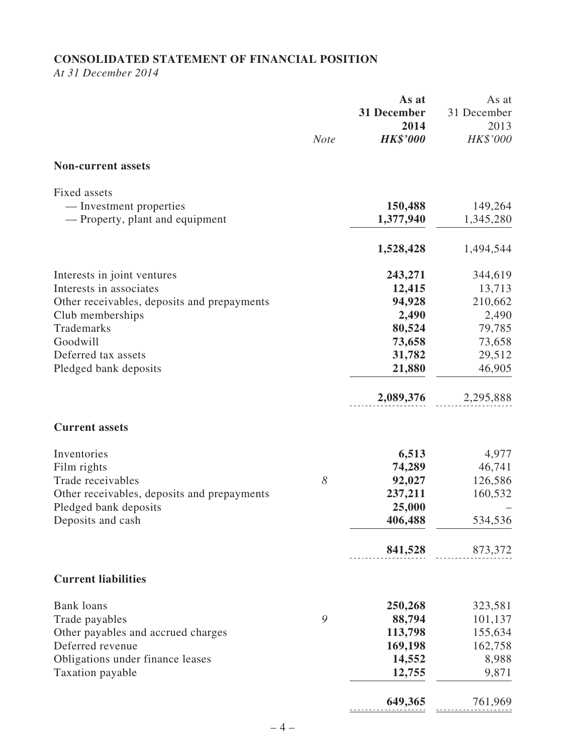# **CONSOLIDATED STATEMENT OF FINANCIAL POSITION**

*At 31 December 2014*

|                                                            | <b>Note</b> | As at<br>31 December<br>2014<br><b>HK\$'000</b> | As at<br>31 December<br>2013<br>HK\$'000 |
|------------------------------------------------------------|-------------|-------------------------------------------------|------------------------------------------|
| <b>Non-current assets</b>                                  |             |                                                 |                                          |
| Fixed assets                                               |             |                                                 |                                          |
| — Investment properties<br>— Property, plant and equipment |             | 150,488<br>1,377,940                            | 149,264<br>1,345,280                     |
|                                                            |             | 1,528,428                                       | 1,494,544                                |
| Interests in joint ventures                                |             | 243,271                                         | 344,619                                  |
| Interests in associates                                    |             | 12,415                                          | 13,713                                   |
| Other receivables, deposits and prepayments                |             | 94,928                                          | 210,662                                  |
| Club memberships                                           |             | 2,490                                           | 2,490                                    |
| Trademarks<br>Goodwill                                     |             | 80,524                                          | 79,785                                   |
| Deferred tax assets                                        |             | 73,658<br>31,782                                | 73,658<br>29,512                         |
| Pledged bank deposits                                      |             | 21,880                                          | 46,905                                   |
|                                                            |             | 2,089,376                                       | 2,295,888                                |
| <b>Current assets</b>                                      |             |                                                 |                                          |
| Inventories                                                |             | 6,513                                           | 4,977                                    |
| Film rights                                                |             | 74,289                                          | 46,741                                   |
| Trade receivables                                          | 8           | 92,027                                          | 126,586                                  |
| Other receivables, deposits and prepayments                |             | 237,211                                         | 160,532                                  |
| Pledged bank deposits                                      |             | 25,000                                          |                                          |
| Deposits and cash                                          |             | 406,488                                         | 534,536                                  |
|                                                            |             | 841,528                                         | 873,372                                  |
| <b>Current liabilities</b>                                 |             |                                                 |                                          |
| <b>Bank loans</b>                                          |             | 250,268                                         | 323,581                                  |
| Trade payables                                             | 9           | 88,794                                          | 101,137                                  |
| Other payables and accrued charges                         |             | 113,798                                         | 155,634                                  |
| Deferred revenue                                           |             | 169,198                                         | 162,758                                  |
| Obligations under finance leases                           |             | 14,552                                          | 8,988                                    |
| Taxation payable                                           |             | 12,755                                          | 9,871                                    |
|                                                            |             | 649,365                                         | 761,969                                  |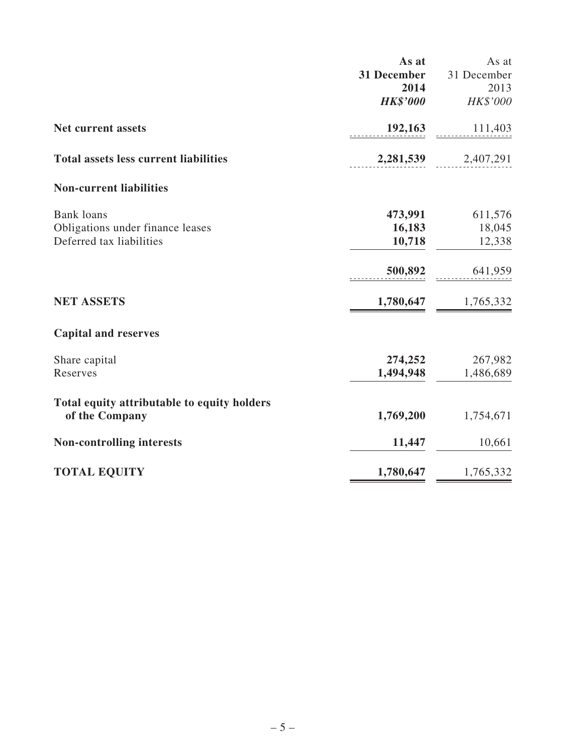|                                                               | As at           | As at       |
|---------------------------------------------------------------|-----------------|-------------|
|                                                               | 31 December     | 31 December |
|                                                               | 2014            | 2013        |
|                                                               | <b>HK\$'000</b> | HK\$'000    |
| Net current assets                                            | 192,163         | 111,403     |
| <b>Total assets less current liabilities</b>                  | 2,281,539       | 2,407,291   |
| <b>Non-current liabilities</b>                                |                 |             |
| <b>Bank</b> loans                                             | 473,991         | 611,576     |
| Obligations under finance leases                              | 16,183          | 18,045      |
| Deferred tax liabilities                                      | 10,718          | 12,338      |
|                                                               | 500,892         | 641,959     |
| <b>NET ASSETS</b>                                             | 1,780,647       | 1,765,332   |
| <b>Capital and reserves</b>                                   |                 |             |
| Share capital                                                 | 274,252         | 267,982     |
| Reserves                                                      | 1,494,948       | 1,486,689   |
| Total equity attributable to equity holders<br>of the Company | 1,769,200       | 1,754,671   |
| <b>Non-controlling interests</b>                              | 11,447          | 10,661      |
| <b>TOTAL EQUITY</b>                                           | 1,780,647       | 1,765,332   |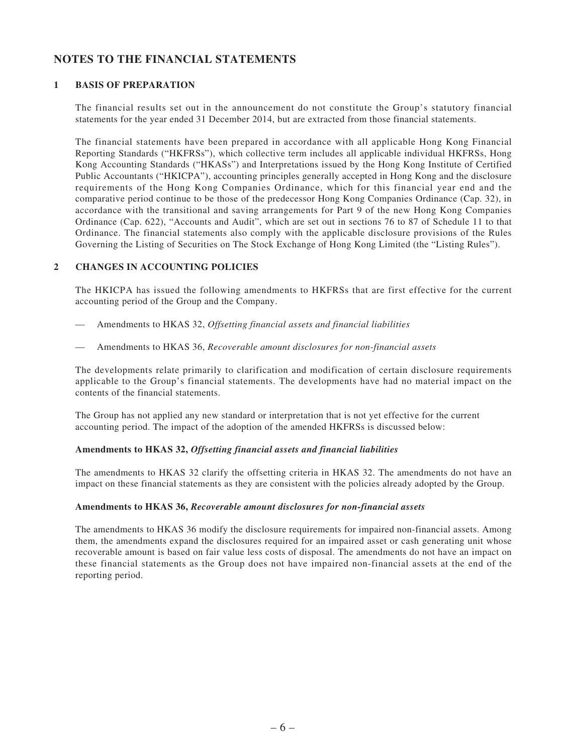# **NOTES TO THE FINANCIAL STATEMENTS**

### **1 BASIS OF PREPARATION**

The financial results set out in the announcement do not constitute the Group's statutory financial statements for the year ended 31 December 2014, but are extracted from those financial statements.

The financial statements have been prepared in accordance with all applicable Hong Kong Financial Reporting Standards ("HKFRSs"), which collective term includes all applicable individual HKFRSs, Hong Kong Accounting Standards ("HKASs") and Interpretations issued by the Hong Kong Institute of Certified Public Accountants ("HKICPA"), accounting principles generally accepted in Hong Kong and the disclosure requirements of the Hong Kong Companies Ordinance, which for this financial year end and the comparative period continue to be those of the predecessor Hong Kong Companies Ordinance (Cap. 32), in accordance with the transitional and saving arrangements for Part 9 of the new Hong Kong Companies Ordinance (Cap. 622), "Accounts and Audit", which are set out in sections 76 to 87 of Schedule 11 to that Ordinance. The financial statements also comply with the applicable disclosure provisions of the Rules Governing the Listing of Securities on The Stock Exchange of Hong Kong Limited (the "Listing Rules").

### **2 CHANGES IN ACCOUNTING POLICIES**

The HKICPA has issued the following amendments to HKFRSs that are first effective for the current accounting period of the Group and the Company.

- Amendments to HKAS 32, *Offsetting financial assets and financial liabilities*
- Amendments to HKAS 36, *Recoverable amount disclosures for non-financial assets*

The developments relate primarily to clarification and modification of certain disclosure requirements applicable to the Group's financial statements. The developments have had no material impact on the contents of the financial statements.

The Group has not applied any new standard or interpretation that is not yet effective for the current accounting period. The impact of the adoption of the amended HKFRSs is discussed below:

### **Amendments to HKAS 32,** *Offsetting financial assets and financial liabilities*

The amendments to HKAS 32 clarify the offsetting criteria in HKAS 32. The amendments do not have an impact on these financial statements as they are consistent with the policies already adopted by the Group.

### **Amendments to HKAS 36,** *Recoverable amount disclosures for non-financial assets*

The amendments to HKAS 36 modify the disclosure requirements for impaired non-financial assets. Among them, the amendments expand the disclosures required for an impaired asset or cash generating unit whose recoverable amount is based on fair value less costs of disposal. The amendments do not have an impact on these financial statements as the Group does not have impaired non-financial assets at the end of the reporting period.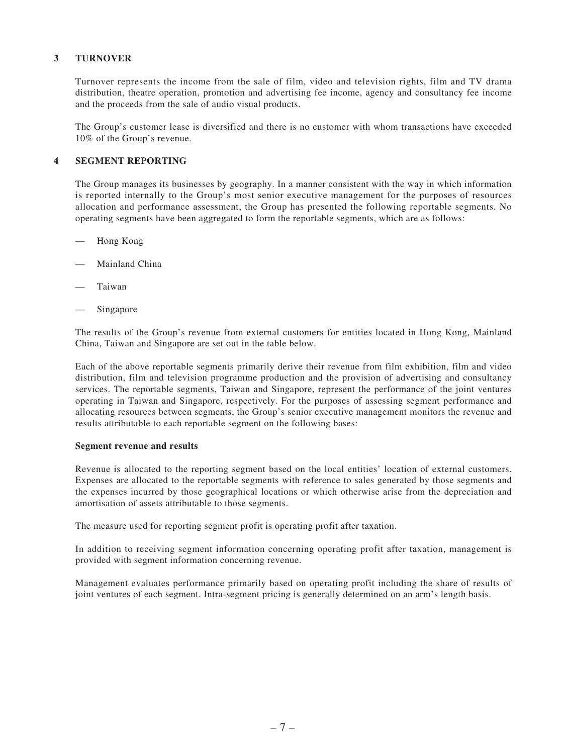### **3 TURNOVER**

Turnover represents the income from the sale of film, video and television rights, film and TV drama distribution, theatre operation, promotion and advertising fee income, agency and consultancy fee income and the proceeds from the sale of audio visual products.

The Group's customer lease is diversified and there is no customer with whom transactions have exceeded 10% of the Group's revenue.

### **4 SEGMENT REPORTING**

The Group manages its businesses by geography. In a manner consistent with the way in which information is reported internally to the Group's most senior executive management for the purposes of resources allocation and performance assessment, the Group has presented the following reportable segments. No operating segments have been aggregated to form the reportable segments, which are as follows:

- Hong Kong
- Mainland China
- **Taiwan**
- Singapore

The results of the Group's revenue from external customers for entities located in Hong Kong, Mainland China, Taiwan and Singapore are set out in the table below.

Each of the above reportable segments primarily derive their revenue from film exhibition, film and video distribution, film and television programme production and the provision of advertising and consultancy services. The reportable segments, Taiwan and Singapore, represent the performance of the joint ventures operating in Taiwan and Singapore, respectively. For the purposes of assessing segment performance and allocating resources between segments, the Group's senior executive management monitors the revenue and results attributable to each reportable segment on the following bases:

#### **Segment revenue and results**

Revenue is allocated to the reporting segment based on the local entities' location of external customers. Expenses are allocated to the reportable segments with reference to sales generated by those segments and the expenses incurred by those geographical locations or which otherwise arise from the depreciation and amortisation of assets attributable to those segments.

The measure used for reporting segment profit is operating profit after taxation.

In addition to receiving segment information concerning operating profit after taxation, management is provided with segment information concerning revenue.

Management evaluates performance primarily based on operating profit including the share of results of joint ventures of each segment. Intra-segment pricing is generally determined on an arm's length basis.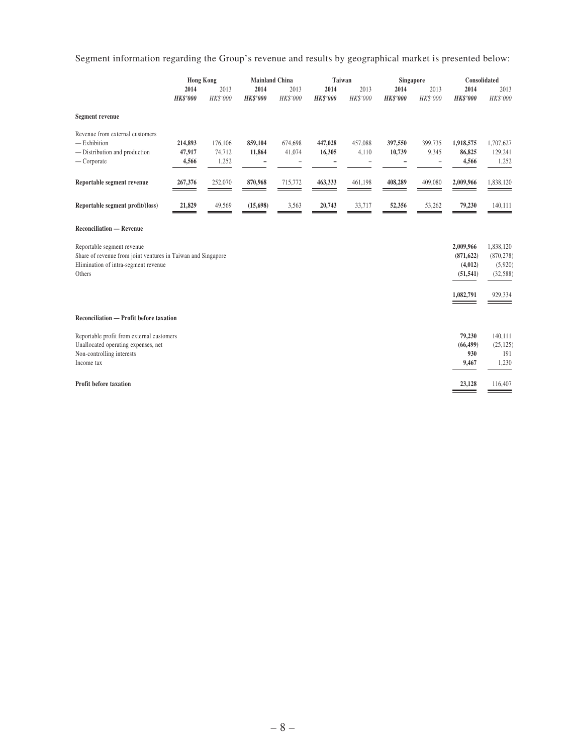Segment information regarding the Group's revenue and results by geographical market is presented below:

|                                                                                                                                              | <b>Hong Kong</b>           |                            | <b>Mainland China</b>   |                   | Taiwan                  |                  | Singapore               |                                       | Consolidated                                    |                                                 |
|----------------------------------------------------------------------------------------------------------------------------------------------|----------------------------|----------------------------|-------------------------|-------------------|-------------------------|------------------|-------------------------|---------------------------------------|-------------------------------------------------|-------------------------------------------------|
|                                                                                                                                              | 2014<br><b>HK\$'000</b>    | 2013<br>HK\$'000           | 2014<br><b>HK\$'000</b> | 2013<br>HK\$'000  | 2014<br><b>HK\$'000</b> | 2013<br>HK\$'000 | 2014<br><b>HK\$'000</b> | 2013<br>HK\$'000                      | 2014<br><b>HK\$'000</b>                         | 2013<br>HK\$'000                                |
| <b>Segment revenue</b>                                                                                                                       |                            |                            |                         |                   |                         |                  |                         |                                       |                                                 |                                                 |
| Revenue from external customers<br>$-$ Exhibition<br>- Distribution and production<br>— Corporate                                            | 214,893<br>47,917<br>4,566 | 176,106<br>74,712<br>1,252 | 859,104<br>11,864       | 674,698<br>41,074 | 447,028<br>16,305       | 457,088<br>4,110 | 397,550<br>10,739       | 399,735<br>9,345<br>$\qquad \qquad -$ | 1,918,575<br>86,825<br>4,566                    | 1,707,627<br>129,241<br>1,252                   |
| Reportable segment revenue                                                                                                                   | 267,376                    | 252,070                    | 870,968                 | 715,772           | 463,333                 | 461,198          | 408,289                 | 409,080                               | 2,009,966                                       | 1,838,120                                       |
| Reportable segment profit/(loss)                                                                                                             | 21,829                     | 49,569                     | (15, 698)               | 3,563             | 20,743                  | 33,717           | 52,356                  | 53,262                                | 79,230                                          | 140,111                                         |
| <b>Reconciliation — Revenue</b>                                                                                                              |                            |                            |                         |                   |                         |                  |                         |                                       |                                                 |                                                 |
| Reportable segment revenue<br>Share of revenue from joint ventures in Taiwan and Singapore<br>Elimination of intra-segment revenue<br>Others |                            |                            |                         |                   |                         |                  |                         |                                       | 2,009,966<br>(871, 622)<br>(4,012)<br>(51, 541) | 1,838,120<br>(870, 278)<br>(5,920)<br>(32, 588) |
|                                                                                                                                              |                            |                            |                         |                   |                         |                  |                         |                                       | 1,082,791                                       | 929,334                                         |
| Reconciliation — Profit before taxation                                                                                                      |                            |                            |                         |                   |                         |                  |                         |                                       |                                                 |                                                 |
| Reportable profit from external customers<br>Unallocated operating expenses, net<br>Non-controlling interests<br>Income tax                  |                            |                            |                         |                   |                         |                  |                         |                                       | 79,230<br>(66, 499)<br>930<br>9,467             | 140,111<br>(25, 125)<br>191<br>1,230            |
| <b>Profit before taxation</b>                                                                                                                |                            |                            |                         |                   |                         |                  |                         |                                       | 23,128                                          | 116,407                                         |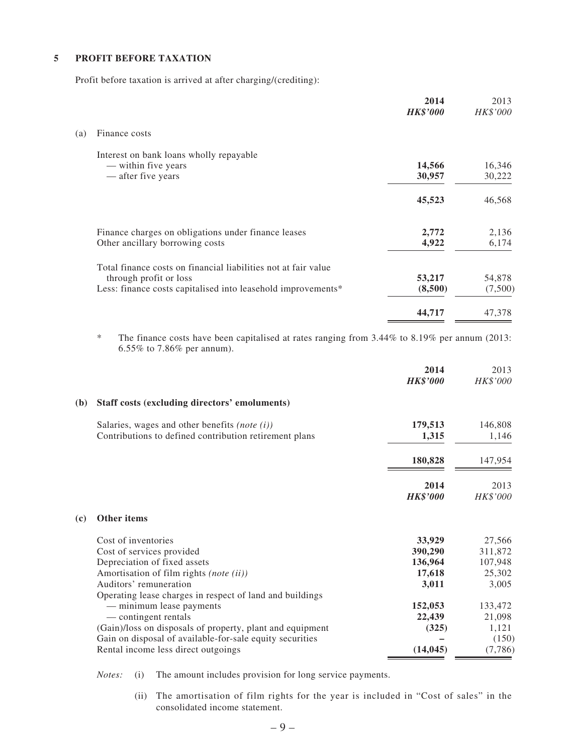### **5 PROFIT BEFORE TAXATION**

Profit before taxation is arrived at after charging/(crediting):

|     |                                                                | 2014<br><b>HK\$'000</b> | 2013<br>HK\$'000 |
|-----|----------------------------------------------------------------|-------------------------|------------------|
| (a) | Finance costs                                                  |                         |                  |
|     | Interest on bank loans wholly repayable                        |                         |                  |
|     | — within five years                                            | 14,566                  | 16,346           |
|     | — after five years                                             | 30,957                  | 30,222           |
|     |                                                                | 45,523                  | 46,568           |
|     | Finance charges on obligations under finance leases            | 2,772                   | 2,136            |
|     | Other ancillary borrowing costs                                | 4,922                   | 6,174            |
|     | Total finance costs on financial liabilities not at fair value |                         |                  |
|     | through profit or loss                                         | 53,217                  | 54,878           |
|     | Less: finance costs capitalised into leasehold improvements*   | (8,500)                 | (7,500)          |
|     |                                                                | 44,717                  | 47,378           |
|     |                                                                |                         |                  |

\* The finance costs have been capitalised at rates ranging from 3.44% to 8.19% per annum (2013: 6.55% to 7.86% per annum).

|                                                                                                                                                                                                                   | 2014<br><b>HK\$'000</b>                         | 2013<br>HK\$'000                                |
|-------------------------------------------------------------------------------------------------------------------------------------------------------------------------------------------------------------------|-------------------------------------------------|-------------------------------------------------|
| (b)<br>Staff costs (excluding directors' emoluments)                                                                                                                                                              |                                                 |                                                 |
| Salaries, wages and other benefits (note $(i)$ )<br>Contributions to defined contribution retirement plans                                                                                                        | 179,513<br>1,315                                | 146,808<br>1,146                                |
|                                                                                                                                                                                                                   | 180,828                                         | 147,954                                         |
|                                                                                                                                                                                                                   | 2014<br><b>HK\$'000</b>                         | 2013<br>HK\$'000                                |
| <b>Other items</b><br>(c)                                                                                                                                                                                         |                                                 |                                                 |
| Cost of inventories<br>Cost of services provided<br>Depreciation of fixed assets<br>Amortisation of film rights (note (ii))<br>Auditors' remuneration<br>Operating lease charges in respect of land and buildings | 33,929<br>390,290<br>136,964<br>17,618<br>3,011 | 27,566<br>311,872<br>107,948<br>25,302<br>3,005 |
| — minimum lease payments<br>— contingent rentals<br>(Gain)/loss on disposals of property, plant and equipment<br>Gain on disposal of available-for-sale equity securities<br>Rental income less direct outgoings  | 152,053<br>22,439<br>(325)<br>(14, 045)         | 133,472<br>21,098<br>1,121<br>(150)<br>(7,786)  |

*Notes:* (i) The amount includes provision for long service payments.

 (ii) The amortisation of film rights for the year is included in "Cost of sales" in the consolidated income statement.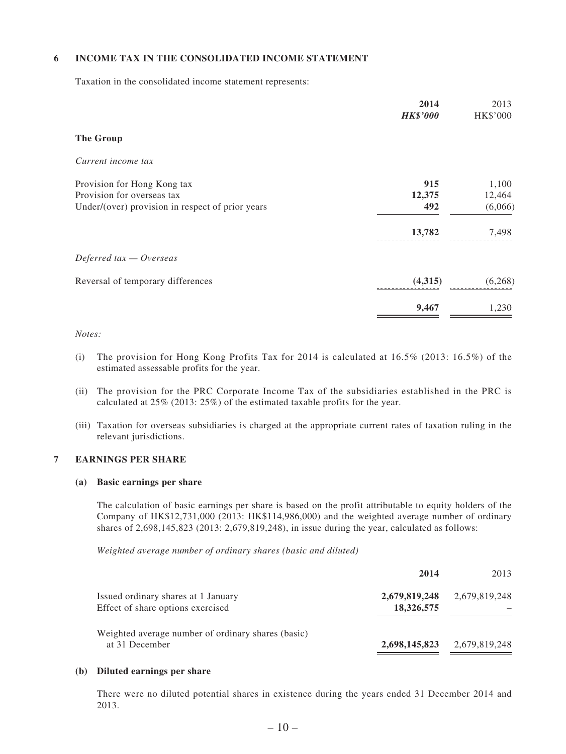### **6 INCOME TAX IN THE CONSOLIDATED INCOME STATEMENT**

Taxation in the consolidated income statement represents:

|                                                  | 2014<br><b>HK\$'000</b> | 2013<br>HK\$'000 |
|--------------------------------------------------|-------------------------|------------------|
| <b>The Group</b>                                 |                         |                  |
| Current income tax                               |                         |                  |
| Provision for Hong Kong tax                      | 915                     | 1,100            |
| Provision for overseas tax                       | 12,375                  | 12,464           |
| Under/(over) provision in respect of prior years | 492                     | (6,066)          |
|                                                  | 13,782                  | 7,498            |
| Deferred $tax - Overseas$                        |                         |                  |
| Reversal of temporary differences                | (4,315)                 | (6, 268)         |
|                                                  | 9,467                   | 1,230            |

#### *Notes:*

- (i) The provision for Hong Kong Profits Tax for 2014 is calculated at  $16.5\%$  (2013:  $16.5\%$ ) of the estimated assessable profits for the year.
- (ii) The provision for the PRC Corporate Income Tax of the subsidiaries established in the PRC is calculated at 25% (2013: 25%) of the estimated taxable profits for the year.
- (iii) Taxation for overseas subsidiaries is charged at the appropriate current rates of taxation ruling in the relevant jurisdictions.

### **7 EARNINGS PER SHARE**

#### **(a) Basic earnings per share**

The calculation of basic earnings per share is based on the profit attributable to equity holders of the Company of HK\$12,731,000 (2013: HK\$114,986,000) and the weighted average number of ordinary shares of 2,698,145,823 (2013: 2,679,819,248), in issue during the year, calculated as follows:

*Weighted average number of ordinary shares (basic and diluted)*

|                                                                          | 2014                        | 2013          |
|--------------------------------------------------------------------------|-----------------------------|---------------|
| Issued ordinary shares at 1 January<br>Effect of share options exercised | 2,679,819,248<br>18,326,575 | 2,679,819,248 |
| Weighted average number of ordinary shares (basic)<br>at 31 December     | 2,698,145,823               | 2,679,819,248 |

#### **(b) Diluted earnings per share**

There were no diluted potential shares in existence during the years ended 31 December 2014 and 2013.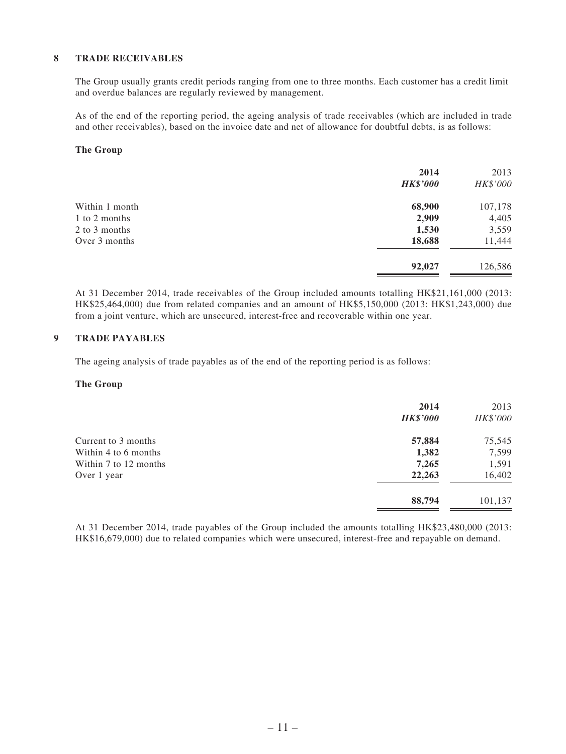### **8 TRADE RECEIVABLES**

The Group usually grants credit periods ranging from one to three months. Each customer has a credit limit and overdue balances are regularly reviewed by management.

As of the end of the reporting period, the ageing analysis of trade receivables (which are included in trade and other receivables), based on the invoice date and net of allowance for doubtful debts, is as follows:

#### **The Group**

| 2014<br><b>HK\$'000</b> | 2013<br>HK\$'000 |
|-------------------------|------------------|
| 68,900                  | 107,178          |
| 2,909                   | 4,405            |
|                         | 3,559            |
| 18,688                  | 11,444           |
| 92,027                  | 126,586          |
|                         | 1,530            |

At 31 December 2014, trade receivables of the Group included amounts totalling HK\$21,161,000 (2013: HK\$25,464,000) due from related companies and an amount of HK\$5,150,000 (2013: HK\$1,243,000) due from a joint venture, which are unsecured, interest-free and recoverable within one year.

### **9 TRADE PAYABLES**

The ageing analysis of trade payables as of the end of the reporting period is as follows:

#### **The Group**

| 2014<br><b>HK\$'000</b> | 2013<br>HK\$'000 |
|-------------------------|------------------|
| 57,884                  | 75,545           |
| 1,382                   | 7,599            |
| 7,265                   | 1,591            |
| 22,263                  | 16,402           |
| 88,794                  | 101,137          |
|                         |                  |

At 31 December 2014, trade payables of the Group included the amounts totalling HK\$23,480,000 (2013: HK\$16,679,000) due to related companies which were unsecured, interest-free and repayable on demand.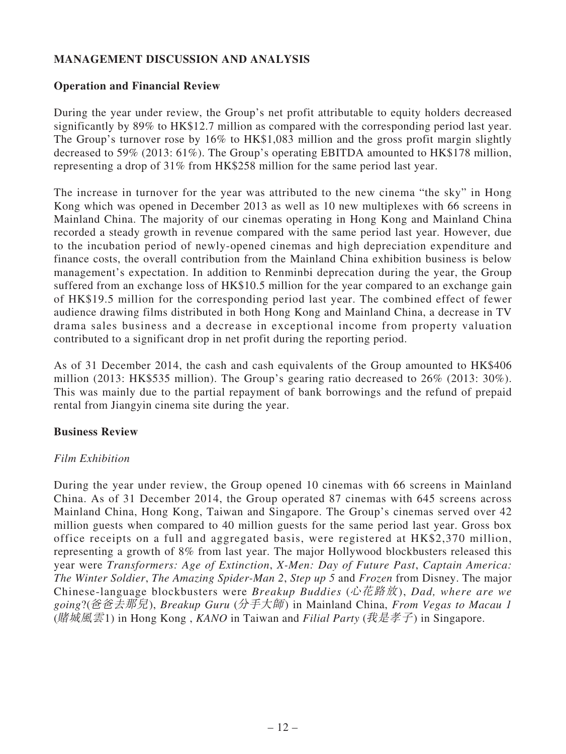# **MANAGEMENT DISCUSSION AND ANALYSIS**

## **Operation and Financial Review**

During the year under review, the Group's net profit attributable to equity holders decreased significantly by 89% to HK\$12.7 million as compared with the corresponding period last year. The Group's turnover rose by 16% to HK\$1,083 million and the gross profit margin slightly decreased to 59% (2013: 61%). The Group's operating EBITDA amounted to HK\$178 million, representing a drop of 31% from HK\$258 million for the same period last year.

The increase in turnover for the year was attributed to the new cinema "the sky" in Hong Kong which was opened in December 2013 as well as 10 new multiplexes with 66 screens in Mainland China. The majority of our cinemas operating in Hong Kong and Mainland China recorded a steady growth in revenue compared with the same period last year. However, due to the incubation period of newly-opened cinemas and high depreciation expenditure and finance costs, the overall contribution from the Mainland China exhibition business is below management's expectation. In addition to Renminbi deprecation during the year, the Group suffered from an exchange loss of HK\$10.5 million for the year compared to an exchange gain of HK\$19.5 million for the corresponding period last year. The combined effect of fewer audience drawing films distributed in both Hong Kong and Mainland China, a decrease in TV drama sales business and a decrease in exceptional income from property valuation contributed to a significant drop in net profit during the reporting period.

As of 31 December 2014, the cash and cash equivalents of the Group amounted to HK\$406 million (2013: HK\$535 million). The Group's gearing ratio decreased to 26% (2013: 30%). This was mainly due to the partial repayment of bank borrowings and the refund of prepaid rental from Jiangyin cinema site during the year.

## **Business Review**

# *Film Exhibition*

During the year under review, the Group opened 10 cinemas with 66 screens in Mainland China. As of 31 December 2014, the Group operated 87 cinemas with 645 screens across Mainland China, Hong Kong, Taiwan and Singapore. The Group's cinemas served over 42 million guests when compared to 40 million guests for the same period last year. Gross box office receipts on a full and aggregated basis, were registered at HK\$2,370 million, representing a growth of 8% from last year. The major Hollywood blockbusters released this year were *Transformers: Age of Extinction*, *X-Men: Day of Future Past*, *Captain America: The Winter Soldier*, *The Amazing Spider-Man 2*, *Step up 5* and *Frozen* from Disney. The major Chinese-language blockbusters were *Breakup Buddies* (心花路放), *Dad, where are we going*?(爸爸去那兒), *Breakup Guru* (分手大師) in Mainland China, *From Vegas to Macau 1* (賭城風雲1) in Hong Kong , *KANO* in Taiwan and *Filial Party* (我是孝子) in Singapore.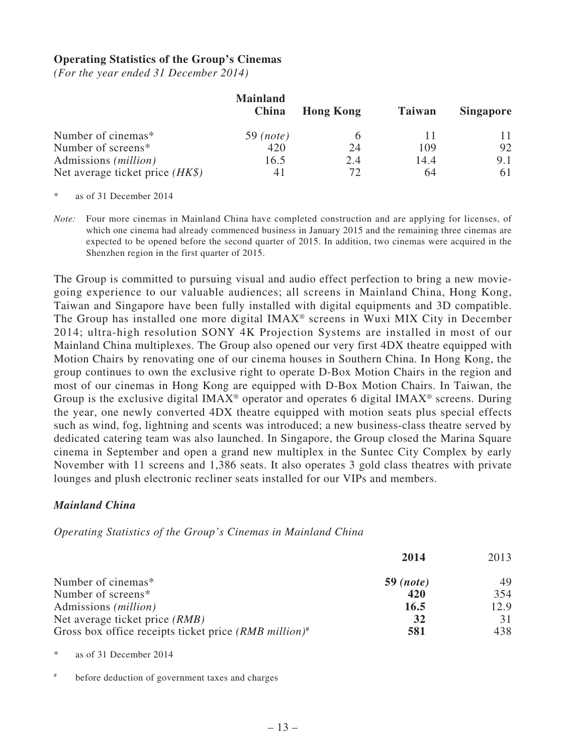## **Operating Statistics of the Group's Cinemas**

*(For the year ended 31 December 2014)*

|                                   | <b>Mainland</b><br>China | <b>Hong Kong</b> | <b>Taiwan</b> | <b>Singapore</b> |
|-----------------------------------|--------------------------|------------------|---------------|------------------|
| Number of cinemas*                | $59 \ (note)$            |                  |               |                  |
| Number of screens*                | 420                      | 24               | 109           | 92               |
| Admissions ( <i>million</i> )     | 16.5                     | 2.4              | 14.4          | 9.1              |
| Net average ticket price $(HK\$ ) | 41                       | 72               | 64            | 61               |

as of 31 December 2014

*Note:* Four more cinemas in Mainland China have completed construction and are applying for licenses, of which one cinema had already commenced business in January 2015 and the remaining three cinemas are expected to be opened before the second quarter of 2015. In addition, two cinemas were acquired in the Shenzhen region in the first quarter of 2015.

The Group is committed to pursuing visual and audio effect perfection to bring a new moviegoing experience to our valuable audiences; all screens in Mainland China, Hong Kong, Taiwan and Singapore have been fully installed with digital equipments and 3D compatible. The Group has installed one more digital IMAX® screens in Wuxi MIX City in December 2014; ultra-high resolution SONY 4K Projection Systems are installed in most of our Mainland China multiplexes. The Group also opened our very first 4DX theatre equipped with Motion Chairs by renovating one of our cinema houses in Southern China. In Hong Kong, the group continues to own the exclusive right to operate D-Box Motion Chairs in the region and most of our cinemas in Hong Kong are equipped with D-Box Motion Chairs. In Taiwan, the Group is the exclusive digital IMAX<sup>®</sup> operator and operates 6 digital IMAX<sup>®</sup> screens. During the year, one newly converted 4DX theatre equipped with motion seats plus special effects such as wind, fog, lightning and scents was introduced; a new business-class theatre served by dedicated catering team was also launched. In Singapore, the Group closed the Marina Square cinema in September and open a grand new multiplex in the Suntec City Complex by early November with 11 screens and 1,386 seats. It also operates 3 gold class theatres with private lounges and plush electronic recliner seats installed for our VIPs and members.

### *Mainland China*

*Operating Statistics of the Group's Cinemas in Mainland China*

|                                                           | 2014             | 2013 |
|-----------------------------------------------------------|------------------|------|
| Number of cinemas*                                        | <b>59</b> (note) | 49   |
| Number of screens*                                        | 420              | 354  |
| Admissions ( <i>million</i> )                             | 16.5             | 12.9 |
| Net average ticket price <i>(RMB)</i>                     | 32               |      |
| Gross box office receipts ticket price $(RMB\ million)^*$ | 581              | 438  |

as of 31 December 2014

# before deduction of government taxes and charges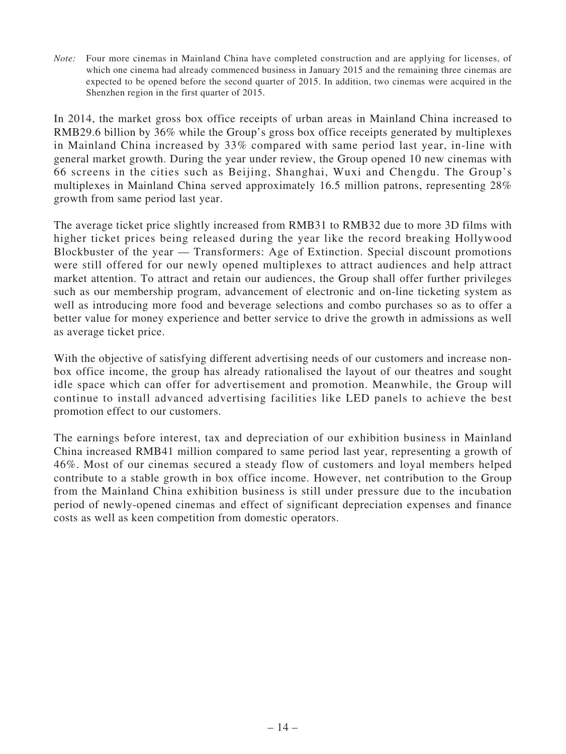*Note:* Four more cinemas in Mainland China have completed construction and are applying for licenses, of which one cinema had already commenced business in January 2015 and the remaining three cinemas are expected to be opened before the second quarter of 2015. In addition, two cinemas were acquired in the Shenzhen region in the first quarter of 2015.

In 2014, the market gross box office receipts of urban areas in Mainland China increased to RMB29.6 billion by 36% while the Group's gross box office receipts generated by multiplexes in Mainland China increased by 33% compared with same period last year, in-line with general market growth. During the year under review, the Group opened 10 new cinemas with 66 screens in the cities such as Beijing, Shanghai, Wuxi and Chengdu. The Group's multiplexes in Mainland China served approximately 16.5 million patrons, representing 28% growth from same period last year.

The average ticket price slightly increased from RMB31 to RMB32 due to more 3D films with higher ticket prices being released during the year like the record breaking Hollywood Blockbuster of the year — Transformers: Age of Extinction. Special discount promotions were still offered for our newly opened multiplexes to attract audiences and help attract market attention. To attract and retain our audiences, the Group shall offer further privileges such as our membership program, advancement of electronic and on-line ticketing system as well as introducing more food and beverage selections and combo purchases so as to offer a better value for money experience and better service to drive the growth in admissions as well as average ticket price.

With the objective of satisfying different advertising needs of our customers and increase nonbox office income, the group has already rationalised the layout of our theatres and sought idle space which can offer for advertisement and promotion. Meanwhile, the Group will continue to install advanced advertising facilities like LED panels to achieve the best promotion effect to our customers.

The earnings before interest, tax and depreciation of our exhibition business in Mainland China increased RMB41 million compared to same period last year, representing a growth of 46%. Most of our cinemas secured a steady flow of customers and loyal members helped contribute to a stable growth in box office income. However, net contribution to the Group from the Mainland China exhibition business is still under pressure due to the incubation period of newly-opened cinemas and effect of significant depreciation expenses and finance costs as well as keen competition from domestic operators.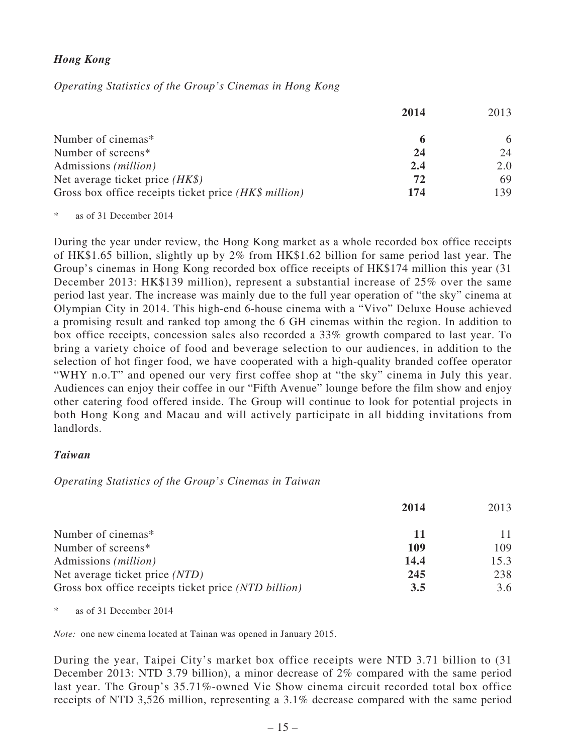# *Hong Kong*

*Operating Statistics of the Group's Cinemas in Hong Kong*

|                                                       | 2014 | 2013 |
|-------------------------------------------------------|------|------|
| Number of cinemas*                                    | 6    | 6    |
| Number of screens*                                    | 24   | 24   |
| Admissions ( <i>million</i> )                         | 2.4  | 2.0  |
| Net average ticket price $(HK\$ )                     | 72   | 69   |
| Gross box office receipts ticket price (HK\$ million) | 174  | 139  |

\* as of 31 December 2014

During the year under review, the Hong Kong market as a whole recorded box office receipts of HK\$1.65 billion, slightly up by 2% from HK\$1.62 billion for same period last year. The Group's cinemas in Hong Kong recorded box office receipts of HK\$174 million this year (31 December 2013: HK\$139 million), represent a substantial increase of 25% over the same period last year. The increase was mainly due to the full year operation of "the sky" cinema at Olympian City in 2014. This high-end 6-house cinema with a "Vivo" Deluxe House achieved a promising result and ranked top among the 6 GH cinemas within the region. In addition to box office receipts, concession sales also recorded a 33% growth compared to last year. To bring a variety choice of food and beverage selection to our audiences, in addition to the selection of hot finger food, we have cooperated with a high-quality branded coffee operator "WHY n.o.T" and opened our very first coffee shop at "the sky" cinema in July this year. Audiences can enjoy their coffee in our "Fifth Avenue" lounge before the film show and enjoy other catering food offered inside. The Group will continue to look for potential projects in both Hong Kong and Macau and will actively participate in all bidding invitations from landlords.

## *Taiwan*

## *Operating Statistics of the Group's Cinemas in Taiwan*

|                                                      | 2014 | 2013 |
|------------------------------------------------------|------|------|
| Number of cinemas*                                   | 11   |      |
| Number of screens*                                   | 109  | 109  |
| Admissions ( <i>million</i> )                        | 14.4 | 15.3 |
| Net average ticket price (NTD)                       | 245  | 238  |
| Gross box office receipts ticket price (NTD billion) | 3.5  | 3.6  |

\* as of 31 December 2014

*Note:* one new cinema located at Tainan was opened in January 2015.

During the year, Taipei City's market box office receipts were NTD 3.71 billion to (31 December 2013: NTD 3.79 billion), a minor decrease of 2% compared with the same period last year. The Group's 35.71%-owned Vie Show cinema circuit recorded total box office receipts of NTD 3,526 million, representing a 3.1% decrease compared with the same period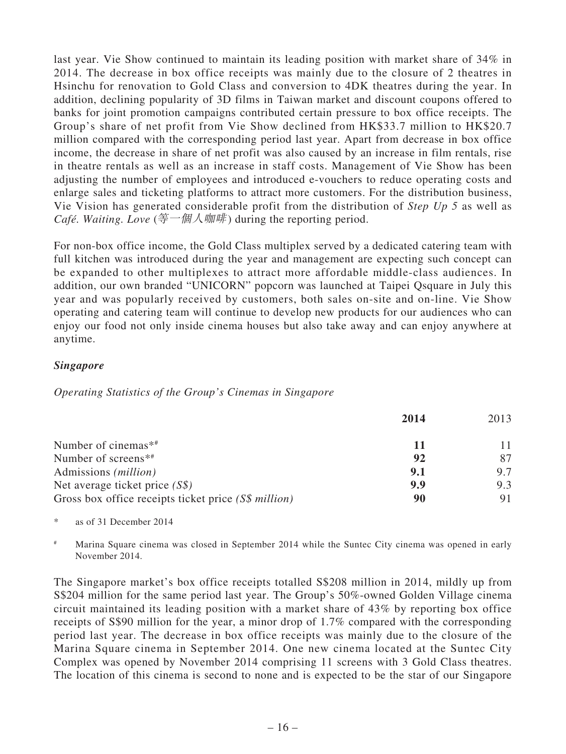last year. Vie Show continued to maintain its leading position with market share of 34% in 2014. The decrease in box office receipts was mainly due to the closure of 2 theatres in Hsinchu for renovation to Gold Class and conversion to 4DK theatres during the year. In addition, declining popularity of 3D films in Taiwan market and discount coupons offered to banks for joint promotion campaigns contributed certain pressure to box office receipts. The Group's share of net profit from Vie Show declined from HK\$33.7 million to HK\$20.7 million compared with the corresponding period last year. Apart from decrease in box office income, the decrease in share of net profit was also caused by an increase in film rentals, rise in theatre rentals as well as an increase in staff costs. Management of Vie Show has been adjusting the number of employees and introduced e-vouchers to reduce operating costs and enlarge sales and ticketing platforms to attract more customers. For the distribution business, Vie Vision has generated considerable profit from the distribution of *Step Up 5* as well as *Café. Waiting. Love* (等一個人咖啡) during the reporting period.

For non-box office income, the Gold Class multiplex served by a dedicated catering team with full kitchen was introduced during the year and management are expecting such concept can be expanded to other multiplexes to attract more affordable middle-class audiences. In addition, our own branded "UNICORN" popcorn was launched at Taipei Qsquare in July this year and was popularly received by customers, both sales on-site and on-line. Vie Show operating and catering team will continue to develop new products for our audiences who can enjoy our food not only inside cinema houses but also take away and can enjoy anywhere at anytime.

# *Singapore*

*Operating Statistics of the Group's Cinemas in Singapore*

|                                                      | 2014 | 2013 |
|------------------------------------------------------|------|------|
| Number of cinemas* <sup>*</sup>                      | ш    |      |
| Number of screens* <sup>*</sup>                      | 92   |      |
| Admissions <i>(million)</i>                          | 9.1  | 9.7  |
| Net average ticket price $(S\$ )                     | 9.9  | 9.3  |
| Gross box office receipts ticket price (S\$ million) | 90   |      |
|                                                      |      |      |

\* as of 31 December 2014

# Marina Square cinema was closed in September 2014 while the Suntec City cinema was opened in early November 2014.

The Singapore market's box office receipts totalled S\$208 million in 2014, mildly up from S\$204 million for the same period last year. The Group's 50%-owned Golden Village cinema circuit maintained its leading position with a market share of 43% by reporting box office receipts of S\$90 million for the year, a minor drop of 1.7% compared with the corresponding period last year. The decrease in box office receipts was mainly due to the closure of the Marina Square cinema in September 2014. One new cinema located at the Suntec City Complex was opened by November 2014 comprising 11 screens with 3 Gold Class theatres. The location of this cinema is second to none and is expected to be the star of our Singapore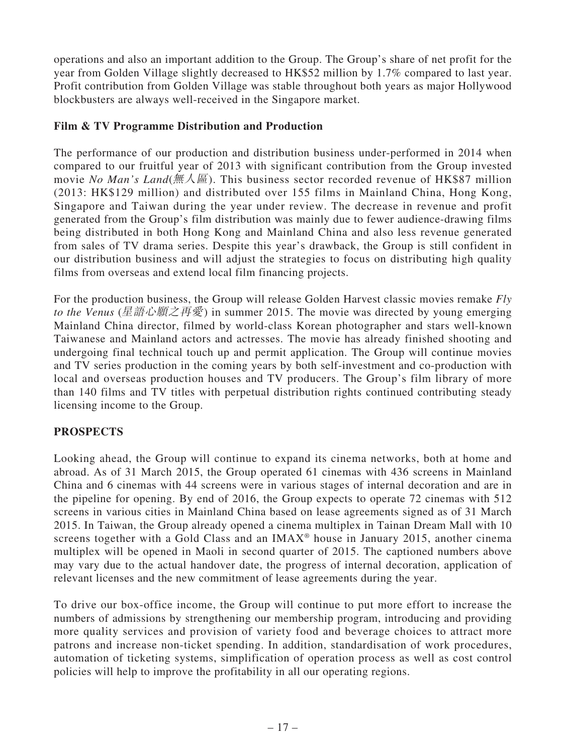operations and also an important addition to the Group. The Group's share of net profit for the year from Golden Village slightly decreased to HK\$52 million by 1.7% compared to last year. Profit contribution from Golden Village was stable throughout both years as major Hollywood blockbusters are always well-received in the Singapore market.

# **Film & TV Programme Distribution and Production**

The performance of our production and distribution business under-performed in 2014 when compared to our fruitful year of 2013 with significant contribution from the Group invested movie *No Man's Land*(無人區). This business sector recorded revenue of HK\$87 million (2013: HK\$129 million) and distributed over 155 films in Mainland China, Hong Kong, Singapore and Taiwan during the year under review. The decrease in revenue and profit generated from the Group's film distribution was mainly due to fewer audience-drawing films being distributed in both Hong Kong and Mainland China and also less revenue generated from sales of TV drama series. Despite this year's drawback, the Group is still confident in our distribution business and will adjust the strategies to focus on distributing high quality films from overseas and extend local film financing projects.

For the production business, the Group will release Golden Harvest classic movies remake *Fly to the Venus* (星語心願之再愛) in summer 2015. The movie was directed by young emerging Mainland China director, filmed by world-class Korean photographer and stars well-known Taiwanese and Mainland actors and actresses. The movie has already finished shooting and undergoing final technical touch up and permit application. The Group will continue movies and TV series production in the coming years by both self-investment and co-production with local and overseas production houses and TV producers. The Group's film library of more than 140 films and TV titles with perpetual distribution rights continued contributing steady licensing income to the Group.

# **PROSPECTS**

Looking ahead, the Group will continue to expand its cinema networks, both at home and abroad. As of 31 March 2015, the Group operated 61 cinemas with 436 screens in Mainland China and 6 cinemas with 44 screens were in various stages of internal decoration and are in the pipeline for opening. By end of 2016, the Group expects to operate 72 cinemas with 512 screens in various cities in Mainland China based on lease agreements signed as of 31 March 2015. In Taiwan, the Group already opened a cinema multiplex in Tainan Dream Mall with 10 screens together with a Gold Class and an  $IMAX<sup>®</sup>$  house in January 2015, another cinema multiplex will be opened in Maoli in second quarter of 2015. The captioned numbers above may vary due to the actual handover date, the progress of internal decoration, application of relevant licenses and the new commitment of lease agreements during the year.

To drive our box-office income, the Group will continue to put more effort to increase the numbers of admissions by strengthening our membership program, introducing and providing more quality services and provision of variety food and beverage choices to attract more patrons and increase non-ticket spending. In addition, standardisation of work procedures, automation of ticketing systems, simplification of operation process as well as cost control policies will help to improve the profitability in all our operating regions.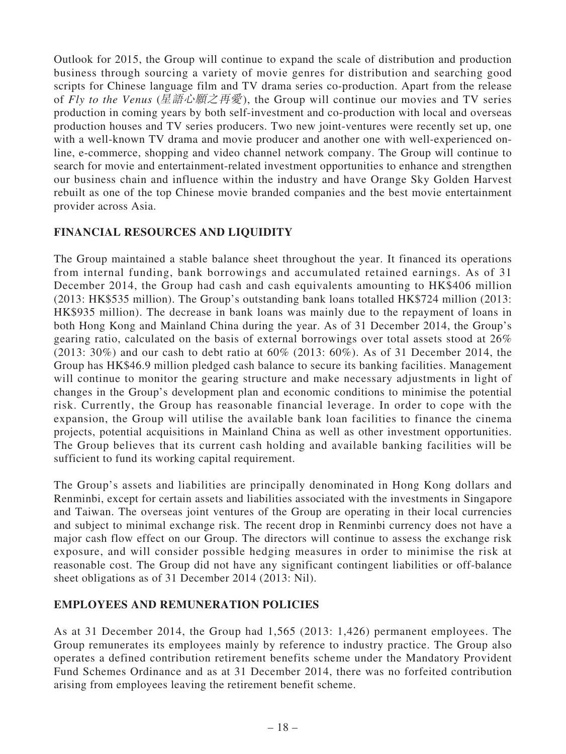Outlook for 2015, the Group will continue to expand the scale of distribution and production business through sourcing a variety of movie genres for distribution and searching good scripts for Chinese language film and TV drama series co-production. Apart from the release of *Fly to the Venus* (星語心願之再愛), the Group will continue our movies and TV series production in coming years by both self-investment and co-production with local and overseas production houses and TV series producers. Two new joint-ventures were recently set up, one with a well-known TV drama and movie producer and another one with well-experienced online, e-commerce, shopping and video channel network company. The Group will continue to search for movie and entertainment-related investment opportunities to enhance and strengthen our business chain and influence within the industry and have Orange Sky Golden Harvest rebuilt as one of the top Chinese movie branded companies and the best movie entertainment provider across Asia.

# **FINANCIAL RESOURCES AND LIQUIDITY**

The Group maintained a stable balance sheet throughout the year. It financed its operations from internal funding, bank borrowings and accumulated retained earnings. As of 31 December 2014, the Group had cash and cash equivalents amounting to HK\$406 million (2013: HK\$535 million). The Group's outstanding bank loans totalled HK\$724 million (2013: HK\$935 million). The decrease in bank loans was mainly due to the repayment of loans in both Hong Kong and Mainland China during the year. As of 31 December 2014, the Group's gearing ratio, calculated on the basis of external borrowings over total assets stood at 26% (2013: 30%) and our cash to debt ratio at 60% (2013: 60%). As of 31 December 2014, the Group has HK\$46.9 million pledged cash balance to secure its banking facilities. Management will continue to monitor the gearing structure and make necessary adjustments in light of changes in the Group's development plan and economic conditions to minimise the potential risk. Currently, the Group has reasonable financial leverage. In order to cope with the expansion, the Group will utilise the available bank loan facilities to finance the cinema projects, potential acquisitions in Mainland China as well as other investment opportunities. The Group believes that its current cash holding and available banking facilities will be sufficient to fund its working capital requirement.

The Group's assets and liabilities are principally denominated in Hong Kong dollars and Renminbi, except for certain assets and liabilities associated with the investments in Singapore and Taiwan. The overseas joint ventures of the Group are operating in their local currencies and subject to minimal exchange risk. The recent drop in Renminbi currency does not have a major cash flow effect on our Group. The directors will continue to assess the exchange risk exposure, and will consider possible hedging measures in order to minimise the risk at reasonable cost. The Group did not have any significant contingent liabilities or off-balance sheet obligations as of 31 December 2014 (2013: Nil).

# **EMPLOYEES AND REMUNERATION POLICIES**

As at 31 December 2014, the Group had 1,565 (2013: 1,426) permanent employees. The Group remunerates its employees mainly by reference to industry practice. The Group also operates a defined contribution retirement benefits scheme under the Mandatory Provident Fund Schemes Ordinance and as at 31 December 2014, there was no forfeited contribution arising from employees leaving the retirement benefit scheme.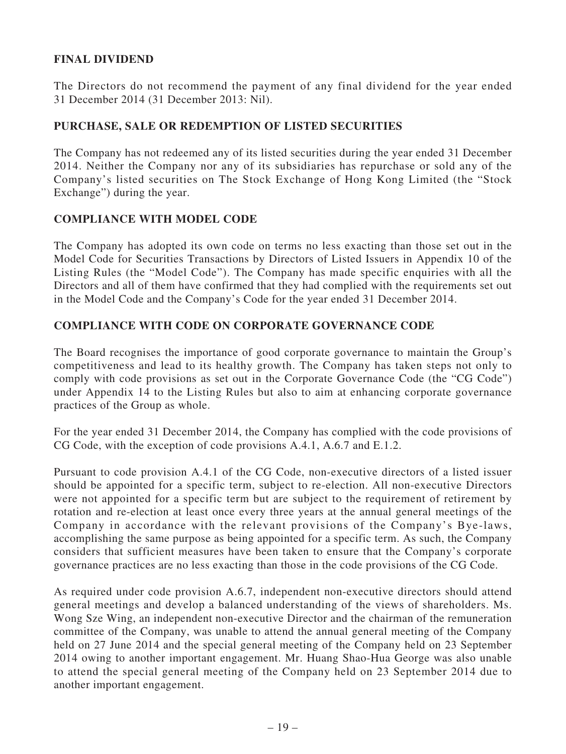# **FINAL DIVIDEND**

The Directors do not recommend the payment of any final dividend for the year ended 31 December 2014 (31 December 2013: Nil).

## **PURCHASE, SALE OR REDEMPTION OF LISTED SECURITIES**

The Company has not redeemed any of its listed securities during the year ended 31 December 2014. Neither the Company nor any of its subsidiaries has repurchase or sold any of the Company's listed securities on The Stock Exchange of Hong Kong Limited (the "Stock Exchange") during the year.

## **COMPLIANCE WITH MODEL CODE**

The Company has adopted its own code on terms no less exacting than those set out in the Model Code for Securities Transactions by Directors of Listed Issuers in Appendix 10 of the Listing Rules (the "Model Code"). The Company has made specific enquiries with all the Directors and all of them have confirmed that they had complied with the requirements set out in the Model Code and the Company's Code for the year ended 31 December 2014.

## **COMPLIANCE WITH CODE ON CORPORATE GOVERNANCE CODE**

The Board recognises the importance of good corporate governance to maintain the Group's competitiveness and lead to its healthy growth. The Company has taken steps not only to comply with code provisions as set out in the Corporate Governance Code (the "CG Code") under Appendix 14 to the Listing Rules but also to aim at enhancing corporate governance practices of the Group as whole.

For the year ended 31 December 2014, the Company has complied with the code provisions of CG Code, with the exception of code provisions A.4.1, A.6.7 and E.1.2.

Pursuant to code provision A.4.1 of the CG Code, non-executive directors of a listed issuer should be appointed for a specific term, subject to re-election. All non-executive Directors were not appointed for a specific term but are subject to the requirement of retirement by rotation and re-election at least once every three years at the annual general meetings of the Company in accordance with the relevant provisions of the Company's Bye-laws, accomplishing the same purpose as being appointed for a specific term. As such, the Company considers that sufficient measures have been taken to ensure that the Company's corporate governance practices are no less exacting than those in the code provisions of the CG Code.

As required under code provision A.6.7, independent non-executive directors should attend general meetings and develop a balanced understanding of the views of shareholders. Ms. Wong Sze Wing, an independent non-executive Director and the chairman of the remuneration committee of the Company, was unable to attend the annual general meeting of the Company held on 27 June 2014 and the special general meeting of the Company held on 23 September 2014 owing to another important engagement. Mr. Huang Shao-Hua George was also unable to attend the special general meeting of the Company held on 23 September 2014 due to another important engagement.